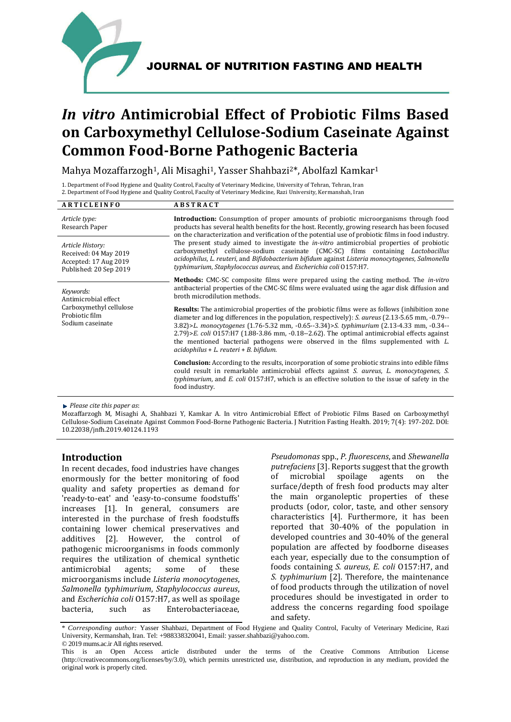

JOURNAL OF NUTRITION FASTING AND HEALTH

# *In vitro* **Antimicrobial Effect of Probiotic Films Based on Carboxymethyl Cellulose-Sodium Caseinate Against Common Food-Borne Pathogenic Bacteria**

Mahya Mozaffarzogh<sup>1</sup>, Ali Misaghi<sup>1</sup>, Yasser Shahbazi<sup>2\*</sup>, Abolfazl Kamkar<sup>1</sup>

1. Department of Food Hygiene and Quality Control, Faculty of Veterinary Medicine, University of Tehran, Tehran, Iran 2. Department of Food Hygiene and Quality Control, Faculty of Veterinary Medicine, Razi University, Kermanshah, Iran

| <b>ARTICLEINFO</b>                                                                                 | <b>ABSTRACT</b>                                                                                                                                                                                                                                                                                                                                                                                                                                                                                                                                                                                                                                                            |  |  |
|----------------------------------------------------------------------------------------------------|----------------------------------------------------------------------------------------------------------------------------------------------------------------------------------------------------------------------------------------------------------------------------------------------------------------------------------------------------------------------------------------------------------------------------------------------------------------------------------------------------------------------------------------------------------------------------------------------------------------------------------------------------------------------------|--|--|
| Article type:<br>Research Paper                                                                    | <b>Introduction:</b> Consumption of proper amounts of probiotic microorganisms through food<br>products has several health benefits for the host. Recently, growing research has been focused<br>on the characterization and verification of the potential use of probiotic films in food industry.<br>The present study aimed to investigate the <i>in-vitro</i> antimicrobial properties of probiotic<br>carboxymethyl cellulose-sodium caseinate (CMC-SC) films containing <i>Lactobacillus</i><br>acidophilus, L. reuteri, and Bifidobacterium bifidum against Listeria monocytogenes, Salmonella<br>typhimurium, Staphylococcus aureus, and Escherichia coli 0157:H7. |  |  |
| Article History:<br>Received: 04 May 2019<br>Accepted: 17 Aug 2019<br>Published: 20 Sep 2019       |                                                                                                                                                                                                                                                                                                                                                                                                                                                                                                                                                                                                                                                                            |  |  |
| Keywords:<br>Antimicrobial effect<br>Carboxymethyl cellulose<br>Probiotic film<br>Sodium caseinate | <b>Methods:</b> CMC-SC composite films were prepared using the casting method. The <i>in-vitro</i><br>antibacterial properties of the CMC-SC films were evaluated using the agar disk diffusion and<br>broth microdilution methods.                                                                                                                                                                                                                                                                                                                                                                                                                                        |  |  |
|                                                                                                    | <b>Results:</b> The antimicrobial properties of the probiotic films were as follows (inhibition zone<br>diameter and log differences in the population, respectively): <i>S. aureus</i> (2.13-5.65 mm, -0.79--<br>3.82)>L. monocytogenes (1.76-5.32 mm, -0.65--3.34)>S. typhimurium (2.13-4.33 mm, -0.34--<br>$(2.79)$ > E. coli 0157: H7 (1.88-3.86 mm, -0.18--2.62). The optimal antimicrobial effects against<br>the mentioned bacterial pathogens were observed in the films supplemented with $L$ .<br>acidophilus + L. reuteri + B. bifidum.                                                                                                                         |  |  |
|                                                                                                    | <b>Conclusion:</b> According to the results, incorporation of some probiotic strains into edible films<br>could result in remarkable antimicrobial effects against S. aureus, L. monocytogenes, S.<br>typhimurium, and E. coli 0157:H7, which is an effective solution to the issue of safety in the<br>food industry.                                                                                                                                                                                                                                                                                                                                                     |  |  |

*Please cite this paper as*:

Mozaffarzogh M, Misaghi A, Shahbazi Y, Kamkar A. In vitro Antimicrobial Effect of Probiotic Films Based on Carboxymethyl Cellulose-Sodium Caseinate Against Common Food-Borne Pathogenic Bacteria. J Nutrition Fasting Health. 2019; 7(4): 197-202. DOI: 10.22038/jnfh.2019.40124.1193

# **Introduction**

In recent decades, food industries have changes enormously for the better monitoring of food quality and safety properties as demand for 'ready-to-eat' and 'easy-to-consume foodstuffs' increases [1]. In general, consumers are interested in the purchase of fresh foodstuffs containing lower chemical preservatives and additives [2]. However, the control of pathogenic microorganisms in foods commonly requires the utilization of chemical synthetic antimicrobial agents; some of these microorganisms include *Listeria monocytogenes*, *Salmonella typhimurium*, *Staphylococcus aureus*, and *Escherichia coli* O157:H7, as well as spoilage bacteria, such as Enterobacteriaceae,

*Pseudomonas* spp., *P. fluorescens*, and *Shewanella putrefaciens* [3]. Reports suggest that the growth of microbial spoilage agents on the surface/depth of fresh food products may alter the main organoleptic properties of these products (odor, color, taste, and other sensory characteristics [4]. Furthermore, it has been reported that 30-40% of the population in developed countries and 30-40% of the general population are affected by foodborne diseases each year, especially due to the consumption of foods containing *S. aureus*, *E. coli* O157:H7, and *S. typhimurium* [2]. Therefore, the maintenance of food products through the utilization of novel procedures should be investigated in order to address the concerns regarding food spoilage and safety.

<sup>\*</sup> *Corresponding author:* Yasser Shahbazi, Department of Food Hygiene and Quality Control, Faculty of Veterinary Medicine, Razi University, Kermanshah, Iran. Tel: +988338320041, Email: yasser.shahbazi@yahoo.com. © 2019 mums.ac.ir All rights reserved.

This is an Open Access article distributed under the terms of the Creative Commons Attribution License (http://creativecommons.org/licenses/by/3.0), which permits unrestricted use, distribution, and reproduction in any medium, provided the original work is properly cited.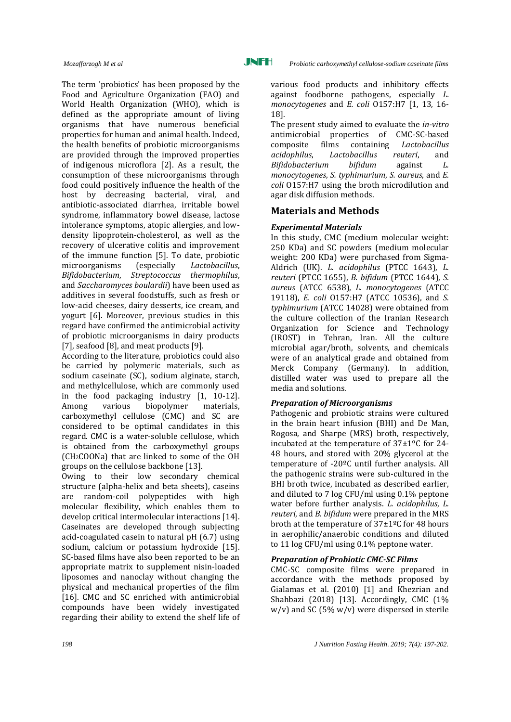The term 'probiotics' has been proposed by the Food and Agriculture Organization (FAO) and World Health Organization (WHO), which is defined as the appropriate amount of living organisms that have numerous beneficial properties for human and animal health. Indeed, the health benefits of probiotic microorganisms are provided through the improved properties of indigenous microflora [2]. As a result, the consumption of these microorganisms through food could positively influence the health of the host by decreasing bacterial, viral, and antibiotic-associated diarrhea, irritable bowel syndrome, inflammatory bowel disease, lactose intolerance symptoms, atopic allergies, and lowdensity lipoprotein-cholesterol, as well as the recovery of ulcerative colitis and improvement of the immune function [5]. To date, probiotic microorganisms (especially *Lactobacillus*, *Bifidobacterium*, *Streptococcus thermophilus*, and *Saccharomyces boulardii*) have been used as additives in several foodstuffs, such as fresh or low-acid cheeses, dairy desserts, ice cream, and yogurt [6]. Moreover, previous studies in this regard have confirmed the antimicrobial activity of probiotic microorganisms in dairy products [7], seafood [8], and meat products [9].

According to the literature, probiotics could also be carried by polymeric materials, such as sodium caseinate (SC), sodium alginate, starch, and methylcellulose, which are commonly used in the food packaging industry [\[1,](#page-4-0) [10-12\]](#page-4-1). Among various biopolymer materials, carboxymethyl cellulose (CMC) and SC are considered to be optimal candidates in this regard. CMC is a water-soluble cellulose, which is obtained from the carboxymethyl groups (CH2COONa) that are linked to some of the OH groups on the cellulose backbone [13].

Owing to their low secondary chemical structure (alpha-helix and beta sheets), caseins are random-coil polypeptides with high molecular flexibility, which enables them to develop critical intermolecular interactions [14]. Caseinates are developed through subjecting acid-coagulated casein to natural pH (6.7) using sodium, calcium or potassium hydroxide [15]. SC-based films have also been reported to be an appropriate matrix to supplement nisin-loaded liposomes and nanoclay without changing the physical and mechanical properties of the film [16]. CMC and SC enriched with antimicrobial compounds have been widely investigated regarding their ability to extend the shelf life of

various food products and inhibitory effects against foodborne pathogens, especially *L. monocytogenes* and *E. coli* O157:H7 [\[1,](#page-4-0) [13,](#page-4-2) [16-](#page-4-3) [18\]](#page-4-3).

The present study aimed to evaluate the *in-vitro* antimicrobial properties of CMC-SC-based composite films containing *Lactobacillus acidophilus*, *Lactobacillus reuteri*, and *Bifidobacterium bifidum* against *L. monocytogenes*, *S. typhimurium*, *S. aureus*, and *E. coli* O157:H7 using the broth microdilution and agar disk diffusion methods.

# **Materials and Methods**

## *Experimental Materials*

In this study, CMC (medium molecular weight: 250 KDa) and SC powders (medium molecular weight: 200 KDa) were purchased from Sigma-Aldrich (UK). *L. acidophilus* (PTCC 1643), *L. reuteri* (PTCC 1655), *B. bifidum* (PTCC 1644), *S. aureus* (ATCC 6538), *L. monocytogenes* (ATCC 19118), *E. coli* O157:H7 (ATCC 10536), and *S. typhimurium* (ATCC 14028) were obtained from the culture collection of the Iranian Research Organization for Science and Technology (IROST) in Tehran, Iran. All the culture microbial agar/broth, solvents, and chemicals were of an analytical grade and obtained from Merck Company (Germany). In addition, distilled water was used to prepare all the media and solutions.

## *Preparation of Microorganisms*

Pathogenic and probiotic strains were cultured in the brain heart infusion (BHI) and De Man, Rogosa, and Sharpe (MRS) broth, respectively, incubated at the temperature of 37±1ºC for 24- 48 hours, and stored with 20% glycerol at the temperature of -20ºC until further analysis. All the pathogenic strains were sub-cultured in the BHI broth twice, incubated as described earlier, and diluted to 7 log CFU/ml using 0.1% peptone water before further analysis. *L. acidophilus*, *L. reuteri*, and *B. bifidum* were prepared in the MRS broth at the temperature of  $37\pm1\frac{6}{5}$  for 48 hours in aerophilic/anaerobic conditions and diluted to 11 log CFU/ml using 0.1% peptone water.

#### *Preparation of Probiotic CMC-SC Films*

CMC-SC composite films were prepared in accordance with the methods proposed by Gialamas et al. (2010) [1] and Khezrian and Shahbazi (2018) [13]. Accordingly, CMC (1%)  $w/v$ ) and SC (5%  $w/v$ ) were dispersed in sterile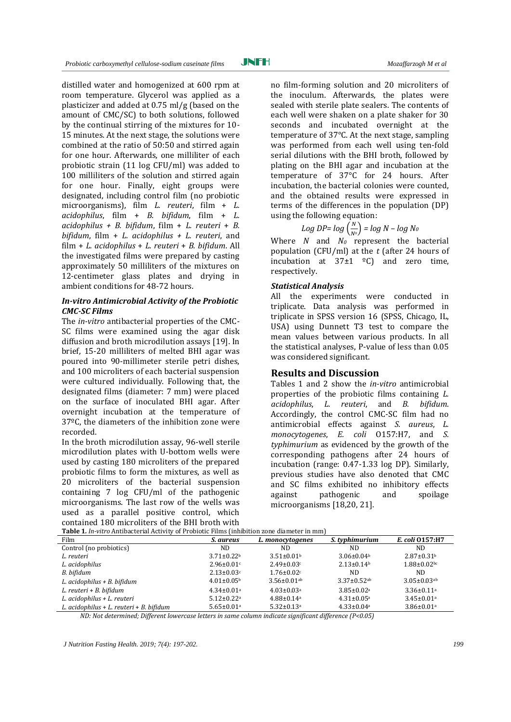JNFH

distilled water and homogenized at 600 rpm at room temperature. Glycerol was applied as a plasticizer and added at 0.75 ml/g (based on the amount of CMC/SC) to both solutions, followed by the continual stirring of the mixtures for 10- 15 minutes. At the next stage, the solutions were combined at the ratio of 50:50 and stirred again for one hour. Afterwards, one milliliter of each probiotic strain (11 log CFU/ml) was added to 100 milliliters of the solution and stirred again for one hour. Finally, eight groups were designated, including control film (no probiotic microorganisms), film *L. reuteri*, film + *L. acidophilus*, film + *B. bifidum*, film + *L. acidophilus + B. bifidum*, film + *L. reuteri* + *B. bifidum*, film + *L. acidophilus + L. reuteri*, and film + *L. acidophilus* + *L. reuteri* + *B. bifidum*. All the investigated films were prepared by casting approximately 50 milliliters of the mixtures on 12-centimeter glass plates and drying in ambient conditions for 48-72 hours.

#### *In-vitro Antimicrobial Activity of the Probiotic CMC-SC Films*

The *in-vitro* antibacterial properties of the CMC-SC films were examined using the agar disk diffusion and broth microdilution assays [19]. In brief, 15-20 milliliters of melted BHI agar was poured into 90-millimeter sterile petri dishes, and 100 microliters of each bacterial suspension were cultured individually. Following that, the designated films (diameter: 7 mm) were placed on the surface of inoculated BHI agar. After overnight incubation at the temperature of 37ºC, the diameters of the inhibition zone were recorded.

In the broth microdilution assay, 96-well sterile microdilution plates with U-bottom wells were used by casting 180 microliters of the prepared probiotic films to form the mixtures, as well as 20 microliters of the bacterial suspension containing 7 log CFU/ml of the pathogenic microorganisms. The last row of the wells was used as a parallel positive control, which contained 180 microliters of the BHI broth with no film-forming solution and 20 microliters of the inoculum. Afterwards, the plates were sealed with sterile plate sealers. The contents of each well were shaken on a plate shaker for 30 seconds and incubated overnight at the temperature of 37°C. At the next stage, sampling was performed from each well using ten-fold serial dilutions with the BHI broth, followed by plating on the BHI agar and incubation at the temperature of 37°C for 24 hours. After incubation, the bacterial colonies were counted, and the obtained results were expressed in terms of the differences in the population (DP) using the following equation:

$$
Log DP = log\left(\frac{N}{N^0}\right) = log N - log N_0
$$

Where *N* and *N<sup>0</sup>* represent the bacterial population (CFU/ml) at the *t* (after 24 hours of incubation at  $37\pm1$  <sup>o</sup>C) and zero time, respectively.

#### *Statistical Analysis*

All the experiments were conducted in triplicate. Data analysis was performed in triplicate in SPSS version 16 (SPSS, Chicago, IL, USA) using Dunnett T3 test to compare the mean values between various products. In all the statistical analyses, P-value of less than 0.05 was considered significant.

## **Results and Discussion**

Tables 1 and 2 show the *in-vitro* antimicrobial properties of the probiotic films containing *L. acidophilus*, *L. reuteri*, and *B. bifidum*. Accordingly, the control CMC-SC film had no antimicrobial effects against *S. aureus*, *L. monocytogenes*, *E. coli* O157:H7, and *S. typhimurium* as evidenced by the growth of the corresponding pathogens after 24 hours of incubation (range: 0.47-1.33 log DP). Similarly, previous studies have also denoted that CMC and SC films exhibited no inhibitory effects against pathogenic and spoilage microorganisms [\[18](#page-5-0)[,20,](#page-5-1) [21\]](#page-5-2).

| <b>Table 1.</b> In-vitro Antibacterial Activity of Probiotic Films (inhibition zone diameter in mm) |                              |                               |                               |                               |  |  |  |
|-----------------------------------------------------------------------------------------------------|------------------------------|-------------------------------|-------------------------------|-------------------------------|--|--|--|
| Film                                                                                                | S. aureus                    | L. monocytogenes              | <i>S.</i> typhimurium         | E. coli 0157:H7               |  |  |  |
| Control (no probiotics)                                                                             | ND.                          | ND.                           | ND.                           | ND.                           |  |  |  |
| L. reuteri                                                                                          | $3.71 \pm 0.22$ <sup>b</sup> | $3.51 \pm 0.01$ <sup>b</sup>  | $3.06 \pm 0.04$ <sup>b</sup>  | $2.87 \pm 0.31$ <sup>b</sup>  |  |  |  |
| L. acidophilus                                                                                      | $2.96 \pm 0.01$ c            | $2.49 \pm 0.03$ <sup>c</sup>  | $2.13 \pm 0.14^b$             | $1.88 \pm 0.02$ <sub>bc</sub> |  |  |  |
| B. bifidum                                                                                          | $2.13 \pm 0.03$ c            | $1.76 \pm 0.02$ c             | ND.                           | ND.                           |  |  |  |
| L. acidophilus + B. bifidum                                                                         | $4.01 \pm 0.05^{\rm b}$      | $3.56 \pm 0.01$ <sup>ab</sup> | $3.37 \pm 0.52$ <sup>ab</sup> | $3.05 \pm 0.03$ <sup>ab</sup> |  |  |  |
| L. reuteri + B. bifidum                                                                             | $4.34 \pm 0.01$ <sup>a</sup> | $4.03 \pm 0.03$ <sup>a</sup>  | $3.85 \pm 0.02$ <sup>a</sup>  | $3.36 \pm 0.11$ <sup>a</sup>  |  |  |  |
| L. acidophilus + L. reuteri                                                                         | $5.12 \pm 0.22$ <sup>a</sup> | $4.88 \pm 0.14$ <sup>a</sup>  | $4.31 \pm 0.05^{\text{a}}$    | $3.45 \pm 0.01$ <sup>a</sup>  |  |  |  |
| L. acidophilus + L. reuteri + B. bifidum                                                            | $5.65 \pm 0.01$ <sup>a</sup> | $5.32 \pm 0.13$ <sup>a</sup>  | $4.33 \pm 0.04$ <sup>a</sup>  | $3.86 \pm 0.01$ <sup>a</sup>  |  |  |  |

**Table 1***. In-vitro* Antibacterial Activity of Probiotic Films (inhibition zone diameter in mm)

*ND: Not determined; Different lowercase letters in same column indicate significant difference (P<0.05)*

*J Nutrition Fasting Health. 2019; 7(4): 197-202. 199*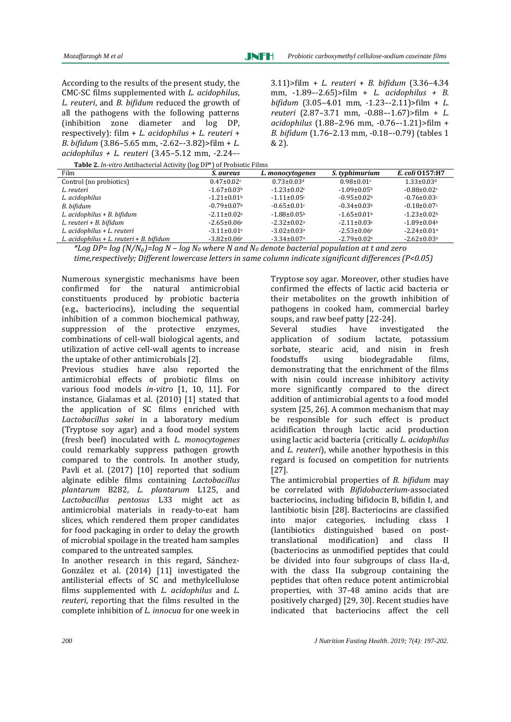According to the results of the present study, the CMC-SC films supplemented with *L. acidophilus*, *L. reuteri*, and *B. bifidum* reduced the growth of all the pathogens with the following patterns (inhibition zone diameter and log DP, respectively): film + *L. acidophilus* + *L. reuteri* + *B. bifidum* (3.86–5.65 mm, -2.62–-3.82)>film + *L. acidophilus + L. reuteri* (3.45–5.12 mm, -2.24–-

3.11)>film + *L. reuteri* + *B. bifidum* (3.36–4.34 mm, -1.89–-2.65)>film + *L. acidophilus + B. bifidum* (3.05–4.01 mm, -1.23–-2.11)>film + *L. reuteri* (2.87–3.71 mm, -0.88–-1.67)>film + *L. acidophilus* (1.88–2.96 mm, -0.76–-1.21)>film + *B. bifidum* (1.76–2.13 mm, -0.18–-0.79) (tables 1 & 2)*.*

**Table 2.** *In-vitro* Antibacterial Activity (log DP\*) of Probiotic Films

| <b>Tuble =</b> 1.11 YR 0.1 http://tech.ur.netry.gr/program.com/eta.html<br>Film | S. aureus                     | L. monocytogenes              | S. typhimurium                | E. coli 0157:H7               |
|---------------------------------------------------------------------------------|-------------------------------|-------------------------------|-------------------------------|-------------------------------|
| Control (no probiotics)                                                         | $0.47 \pm 0.02$ c             | $0.73 \pm 0.03$ <sup>d</sup>  | $0.98 \pm 0.01$ <sup>c</sup>  | $1.33 \pm 0.03$ <sup>d</sup>  |
| L. reuteri                                                                      | $-1.67 \pm 0.03$ <sup>b</sup> | $-1.23 \pm 0.02$ c            | $-1.09 \pm 0.05^{\circ}$      | $-0.88 \pm 0.02$              |
| L. acidophilus                                                                  | $-1.21 \pm 0.01$ <sup>b</sup> | $-1.11 \pm 0.05$ <sup>c</sup> | $-0.95 \pm 0.02$ <sup>b</sup> | $-0.76 \pm 0.03$ c            |
| B. bifidum                                                                      | $-0.79 \pm 0.07$              | $-0.65 \pm 0.01$              | $-0.34 \pm 0.03$              | $-0.18 \pm 0.07$ c            |
| L. acidophilus + B. bifidum                                                     | $-2.11 \pm 0.02$ <sup>a</sup> | $-1.88 \pm 0.05$ <sup>b</sup> | $-1.65 \pm 0.01$              | $-1.23 \pm 0.02$              |
| L. reuteri + B. bifidum                                                         | $-2.65 \pm 0.06^{\circ}$      | $-2.32 \pm 0.02$ <sup>a</sup> | $-2.11 \pm 0.03$ <sup>a</sup> | $-1.89 \pm 0.04$              |
| L. acidophilus + L. reuteri                                                     | $-3.11 \pm 0.01$ <sup>a</sup> | $-3.02 \pm 0.03$ <sup>a</sup> | $-2.53 \pm 0.06^{\circ}$      | $-2.24 \pm 0.01$ <sup>a</sup> |
| L. acidophilus + L. reuteri + B. bifidum                                        | $-3.82 \pm 0.06^{\circ}$      | $-3.34 \pm 0.07$ <sup>a</sup> | $-2.79 \pm 0.02$ <sup>a</sup> | $-2.62 \pm 0.03$ <sup>a</sup> |

*\*Log DP= log (N/N₀)=log N – log N<sup>0</sup> where N and N<sup>0</sup> denote bacterial population at t and zero time,respectively; Different lowercase letters in same column indicate significant differences (P<0.05)*

Numerous synergistic mechanisms have been confirmed for the natural antimicrobial constituents produced by probiotic bacteria (e.g., bacteriocins), including the sequential inhibition of a common biochemical pathway, suppression of the protective enzymes, combinations of cell-wall biological agents, and utilization of active cell-wall agents to increase the uptake of other antimicrobials [2].

Previous studies have also reported the antimicrobial effects of probiotic films on various food models *in-vitro* [1, 10, 11]. For instance, Gialamas et al. (2010) [1] stated that the application of SC films enriched with *Lactobacillus sakei* in a laboratory medium (Tryptose soy agar) and a food model system (fresh beef) inoculated with *L. monocytogenes*  could remarkably suppress pathogen growth compared to the controls. In another study, Pavli et al. (2017) [10] reported that sodium alginate edible films containing *Lactobacillus plantarum* B282, *L. plantarum* L125, and *Lactobacillus pentosus* L33 might act as antimicrobial materials in ready-to-eat ham slices, which rendered them proper candidates for food packaging in order to delay the growth of microbial spoilage in the treated ham samples compared to the untreated samples.

In another research in this regard, Sánchez-González et al. (2014) [11] investigated the antilisterial effects of SC and methylcellulose films supplemented with *L. acidophilus* and *L. reuteri*, reporting that the films resulted in the complete inhibition of *L. innocua* for one week in

Tryptose soy agar. Moreover, other studies have confirmed the effects of lactic acid bacteria or their metabolites on the growth inhibition of pathogens in cooked ham, commercial barley soups, and raw beef patty [22-24].

Several studies have investigated the application of sodium lactate, potassium sorbate, stearic acid, and nisin in fresh foodstuffs using biodegradable films, demonstrating that the enrichment of the films with nisin could increase inhibitory activity more significantly compared to the direct addition of antimicrobial agents to a food model system [\[25,](#page-5-3) [26\]](#page-5-4). A common mechanism that may be responsible for such effect is product acidification through lactic acid production using lactic acid bacteria (critically *L. acidophilus* and *L. reuteri*), while another hypothesis in this regard is focused on competition for nutrients [27].

The antimicrobial properties of *B. bifidum* may be correlated with *Bifidobacterium*-associated bacteriocins, including bifidocin B, bifidin I, and lantibiotic bisin [28]. Bacteriocins are classified into major categories, including class I (lantibiotics distinguished based on posttranslational modification) and class II (bacteriocins as unmodified peptides that could be divided into four subgroups of class IIa-d, with the class IIa subgroup containing the peptides that often reduce potent antimicrobial properties, with 37-48 amino acids that are positively charged) [\[29,](#page-5-5) [30\]](#page-5-6). Recent studies have indicated that bacteriocins affect the cell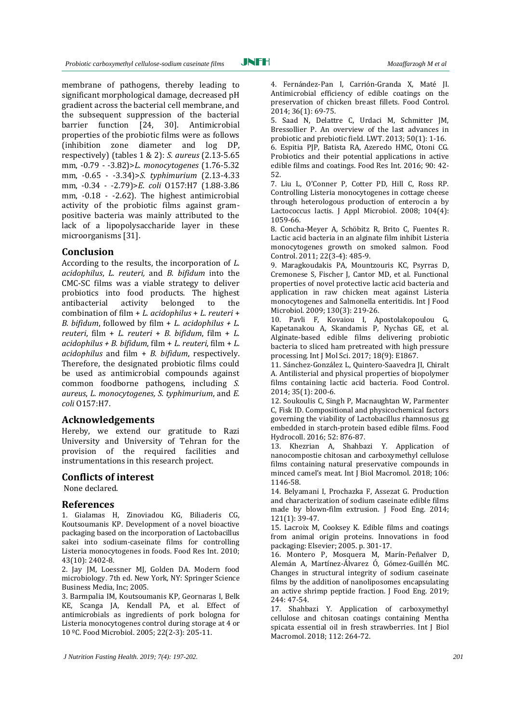membrane of pathogens, thereby leading to significant morphological damage, decreased pH gradient across the bacterial cell membrane, and the subsequent suppression of the bacterial barrier function [\[24,](#page-5-7) [30\]](#page-5-6). Antimicrobial properties of the probiotic films were as follows (inhibition zone diameter and log DP, respectively) (tables 1 & 2): *S. aureus* (2.13-5.65 mm, -0.79 - -3.82)>*L. monocytogenes* (1.76-5.32 mm, -0.65 - -3.34)>*S. typhimurium* (2.13-4.33 mm, -0.34 - -2.79)>*E. coli* O157:H7 (1.88-3.86 mm, -0.18 - -2.62). The highest antimicrobial activity of the probiotic films against grampositive bacteria was mainly attributed to the lack of a lipopolysaccharide layer in these microorganisms [31].

#### **Conclusion**

According to the results, the incorporation of *L. acidophilus*, *L. reuteri,* and *B. bifidum* into the CMC-SC films was a viable strategy to deliver probiotics into food products. The highest antibacterial activity belonged to the combination of film + *L. acidophilus* + *L. reuteri* + *B. bifidum*, followed by film + *L. acidophilus + L. reuteri*, film + *L. reuteri* + *B. bifidum*, film + *L. acidophilus + B. bifidum*, film + *L. reuteri*, film + *L. acidophilus* and film + *B. bifidum*, respectively. Therefore, the designated probiotic films could be used as antimicrobial compounds against common foodborne pathogens, including *S. aureus*, *L. monocytogenes, S. typhimurium*, and *E. coli* O157:H7.

#### **Acknowledgements**

Hereby, we extend our gratitude to Razi University and University of Tehran for the provision of the required facilities and instrumentations in this research project.

#### **Conflicts of interest**

None declared.

#### **References**

<span id="page-4-0"></span>1. Gialamas H, Zinoviadou KG, Biliaderis CG, Koutsoumanis KP. Development of a novel bioactive packaging based on the incorporation of Lactobacillus sakei into sodium-caseinate films for controlling Listeria monocytogenes in foods. Food Res Int. 2010; 43(10): 2402-8.

2. Jay JM, Loessner MJ, Golden DA. Modern food microbiology. 7th ed. New York, NY: Springer Science Business Media, Inc; 2005.

3. Barmpalia IM, Koutsoumanis KP, Geornaras I, Belk KE, Scanga JA, Kendall PA, et al. Effect of antimicrobials as ingredients of pork bologna for Listeria monocytogenes control during storage at 4 or 10 ºC. Food Microbiol. 2005; 22(2-3): 205-11.

Probiotics and their potential applications in active edible films and coatings. Food Res Int. 2016; 90: 42- 52.

2014; 36(1): 69-75.

7. Liu L, O'Conner P, Cotter PD, Hill C, Ross RP. Controlling Listeria monocytogenes in cottage cheese through heterologous production of enterocin a by Lactococcus lactis. J Appl Microbiol. 2008; 104(4): 1059-66.

4. Fernández-Pan I, Carrión-Granda X, Maté JI. Antimicrobial efficiency of edible coatings on the preservation of chicken breast fillets. Food Control.

5. Saad N, Delattre C, Urdaci M, Schmitter JM, Bressollier P. An overview of the last advances in probiotic and prebiotic field. LWT. 2013; 50(1): 1-16. 6. Espitia PJP, Batista RA, Azeredo HMC, Otoni CG.

8. Concha-Meyer A, Schöbitz R, Brito C, Fuentes R. Lactic acid bacteria in an alginate film inhibit Listeria monocytogenes growth on smoked salmon. Food Control. 2011; 22(3-4): 485-9.

9. Maragkoudakis PA, Mountzouris KC, Psyrras D, Cremonese S, Fischer J, Cantor MD, et al. Functional properties of novel protective lactic acid bacteria and application in raw chicken meat against Listeria monocytogenes and Salmonella enteritidis. Int J Food Microbiol. 2009; 130(3): 219-26.

<span id="page-4-1"></span>10. Pavli F, Kovaiou I, Apostolakopoulou G, Kapetanakou A, Skandamis P, Nychas GE, et al. Alginate-based edible films delivering probiotic bacteria to sliced ham pretreated with high pressure processing. Int J Mol Sci. 2017; 18(9): E1867.

11. Sánchez-González L, Quintero-Saavedra JI, Chiralt A. Antilisterial and physical properties of biopolymer films containing lactic acid bacteria. Food Control. 2014; 35(1): 200-6.

12. Soukoulis C, Singh P, Macnaughtan W, Parmenter C, Fisk ID. Compositional and physicochemical factors governing the viability of Lactobacillus rhamnosus gg embedded in starch-protein based edible films. Food Hydrocoll. 2016; 52: 876-87.

<span id="page-4-2"></span>13. Khezrian A, Shahbazi Y. Application of nanocompostie chitosan and carboxymethyl cellulose films containing natural preservative compounds in minced camel's meat. Int J Biol Macromol. 2018; 106: 1146-58.

14. Belyamani I, Prochazka F, Assezat G. Production and characterization of sodium caseinate edible films made by blown-film extrusion. J Food Eng. 2014; 121(1): 39-47.

15. Lacroix M, Cooksey K. Edible films and coatings from animal origin proteins. Innovations in food packaging: Elsevier; 2005. p. 301-17.

<span id="page-4-3"></span>16. Montero P, Mosquera M, Marín-Peñalver D, Alemán A, Martínez-Álvarez Ó, Gómez-Guillén MC. Changes in structural integrity of sodium caseinate films by the addition of nanoliposomes encapsulating an active shrimp peptide fraction. J Food Eng. 2019; 244: 47-54.

17. Shahbazi Y. Application of carboxymethyl cellulose and chitosan coatings containing Mentha spicata essential oil in fresh strawberries. Int J Biol Macromol. 2018; 112: 264-72.

*J Nutrition Fasting Health. 2019; 7(4): 197-202. 201*